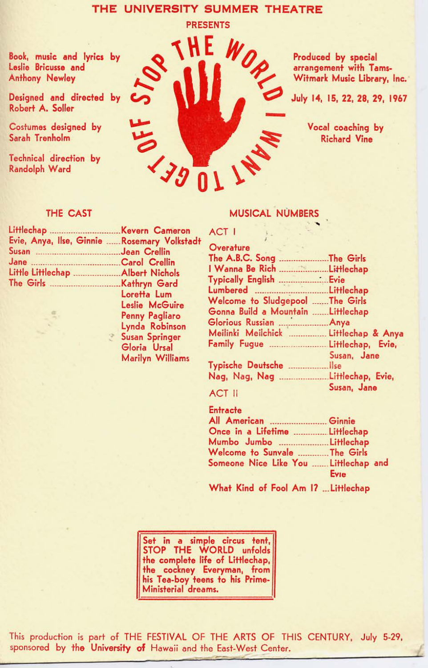# THE UNIVERSITY SUMMER THEATRE

Book, music and lyrics by Leslie Bricusse and Anthony Newley

Designed and directed by Robert A. Soller

Costumes designed by Sarah Trenholm

Technical direction by Randolph Ward



Produced by special arrangement with Tams-Witmark Music Library, Inc.

July 14, 15, 22, 28, 29, 1967

Vocal coaching by Richard Vine

## THE CAST

| Evie, Anya, Ilse, Ginnie  Rosemary Volkstadt |                              |
|----------------------------------------------|------------------------------|
| Susan Jean Crellin                           |                              |
|                                              |                              |
|                                              |                              |
|                                              |                              |
|                                              | Loretta Lum                  |
|                                              | <b>Tradition Manifestine</b> |

Leslie McGuire Penny Pagliaro Lynda Robinson Susan Springer Gloria Ursal Marilyn Williams

## **MUSICAL NUMBERS**

| Overature                             |             |
|---------------------------------------|-------------|
|                                       |             |
| I Wanna Be Rich Littlechap            |             |
|                                       |             |
| Lumbered Littlechap                   |             |
| Welcome to Sludgepool The Girls       |             |
| Gonna Build a Mountain Littlechap     |             |
|                                       |             |
| Meilinki Meilchick  Littlechap & Anya |             |
|                                       |             |
|                                       | Susan, Jane |
|                                       |             |
|                                       |             |
|                                       | Susan, Jane |
| <b>ACT II</b>                         |             |

ACT I

| Entracte                              |      |
|---------------------------------------|------|
|                                       |      |
| Once in a Lifetime  Littlechap        |      |
|                                       |      |
| Welcome to Sunvale  The Girls         |      |
| Someone Nice Like You  Littlechap and |      |
|                                       | Evie |

What Kind of Fool Am 17 ... Littlechap

Set in a simple circus tent, STOP THE WORLD unfolds the complete life of Littlechap, the cockney Everyman, from his Tea-boy teens to his Prime-Ministerial dreams.

This production is part of THE FESTIVAL OF THE ARTS OF THIS CENTURY, July 5-29, sponsored by the University of Hawaii and the East-West Center.